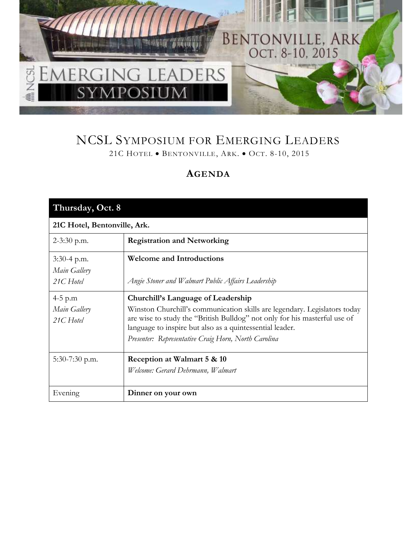

## NCSL SYMPOSIUM FOR EMERGING LEADERS 21C HOTEL • BENTONVILLE, ARK. • OCT. 8-10, 2015

## **AGENDA**

| Thursday, Oct. 8                         |                                                                                                                                                                                                                                                                                                                  |  |
|------------------------------------------|------------------------------------------------------------------------------------------------------------------------------------------------------------------------------------------------------------------------------------------------------------------------------------------------------------------|--|
| 21C Hotel, Bentonville, Ark.             |                                                                                                                                                                                                                                                                                                                  |  |
| $2-3:30$ p.m.                            | <b>Registration and Networking</b>                                                                                                                                                                                                                                                                               |  |
| 3:30-4 p.m.<br>Main Gallery<br>21C Hotel | <b>Welcome and Introductions</b><br>Angie Stoner and Walmart Public Affairs Leadership                                                                                                                                                                                                                           |  |
| 4-5 p.m<br>Main Gallery<br>21C Hotel     | Churchill's Language of Leadership<br>Winston Churchill's communication skills are legendary. Legislators today<br>are wise to study the "British Bulldog" not only for his masterful use of<br>language to inspire but also as a quintessential leader.<br>Presenter: Representative Craig Horn, North Carolina |  |
| $5:30-7:30$ p.m.                         | Reception at Walmart 5 & 10<br>Welcome: Gerard Dehrmann, Walmart                                                                                                                                                                                                                                                 |  |
| Evening                                  | Dinner on your own                                                                                                                                                                                                                                                                                               |  |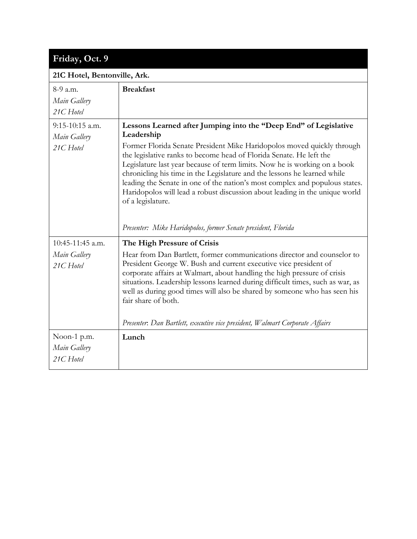| Friday, Oct. 9                                 |                                                                                                                                                                                                                                                                                                                                                                                                                                                                                                                                                                             |  |
|------------------------------------------------|-----------------------------------------------------------------------------------------------------------------------------------------------------------------------------------------------------------------------------------------------------------------------------------------------------------------------------------------------------------------------------------------------------------------------------------------------------------------------------------------------------------------------------------------------------------------------------|--|
| 21C Hotel, Bentonville, Ark.                   |                                                                                                                                                                                                                                                                                                                                                                                                                                                                                                                                                                             |  |
| 8-9 a.m.<br>Main Gallery<br>21C Hotel          | <b>Breakfast</b>                                                                                                                                                                                                                                                                                                                                                                                                                                                                                                                                                            |  |
| $9:15-10:15$ a.m.<br>Main Gallery<br>21C Hotel | Lessons Learned after Jumping into the "Deep End" of Legislative<br>Leadership<br>Former Florida Senate President Mike Haridopolos moved quickly through<br>the legislative ranks to become head of Florida Senate. He left the<br>Legislature last year because of term limits. Now he is working on a book<br>chronicling his time in the Legislature and the lessons he learned while<br>leading the Senate in one of the nation's most complex and populous states.<br>Haridopolos will lead a robust discussion about leading in the unique world<br>of a legislature. |  |
|                                                | Presenter: Mike Haridopolos, former Senate president, Florida                                                                                                                                                                                                                                                                                                                                                                                                                                                                                                               |  |
| 10:45-11:45 a.m.<br>Main Gallery<br>21C Hotel  | The High Pressure of Crisis<br>Hear from Dan Bartlett, former communications director and counselor to<br>President George W. Bush and current executive vice president of<br>corporate affairs at Walmart, about handling the high pressure of crisis<br>situations. Leadership lessons learned during difficult times, such as war, as<br>well as during good times will also be shared by someone who has seen his<br>fair share of both.<br>Presenter. Dan Bartlett, executive vice president, Walmart Corporate Affairs                                                |  |
| Noon-1 p.m.<br>Main Gallery<br>21C Hotel       | Lunch                                                                                                                                                                                                                                                                                                                                                                                                                                                                                                                                                                       |  |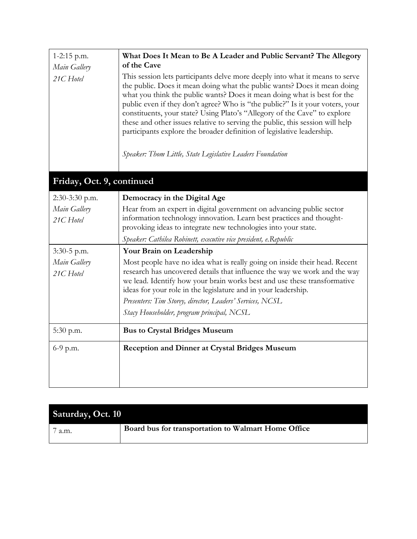| 1-2:15 p.m.<br>Main Gallery | What Does It Mean to Be A Leader and Public Servant? The Allegory<br>of the Cave                                                                                                                                                                                                                                                                                                                                                                                                                                                                                                                                            |
|-----------------------------|-----------------------------------------------------------------------------------------------------------------------------------------------------------------------------------------------------------------------------------------------------------------------------------------------------------------------------------------------------------------------------------------------------------------------------------------------------------------------------------------------------------------------------------------------------------------------------------------------------------------------------|
| 21C Hotel                   | This session lets participants delve more deeply into what it means to serve<br>the public. Does it mean doing what the public wants? Does it mean doing<br>what you think the public wants? Does it mean doing what is best for the<br>public even if they don't agree? Who is "the public?" Is it your voters, your<br>constituents, your state? Using Plato's "Allegory of the Cave" to explore<br>these and other issues relative to serving the public, this session will help<br>participants explore the broader definition of legislative leadership.<br>Speaker: Thom Little, State Legislative Leaders Foundation |
| Friday, Oct. 9, continued   |                                                                                                                                                                                                                                                                                                                                                                                                                                                                                                                                                                                                                             |
| 2:30-3:30 p.m.              | Democracy in the Digital Age                                                                                                                                                                                                                                                                                                                                                                                                                                                                                                                                                                                                |
| Main Gallery                | Hear from an expert in digital government on advancing public sector                                                                                                                                                                                                                                                                                                                                                                                                                                                                                                                                                        |
| 21C Hotel                   | information technology innovation. Learn best practices and thought-<br>provoking ideas to integrate new technologies into your state.                                                                                                                                                                                                                                                                                                                                                                                                                                                                                      |
|                             | Speaker: Cathilea Robinett, executive vice president, e.Republic                                                                                                                                                                                                                                                                                                                                                                                                                                                                                                                                                            |
| $3:30-5$ p.m.               | Your Brain on Leadership                                                                                                                                                                                                                                                                                                                                                                                                                                                                                                                                                                                                    |
| Main Gallery<br>21C Hotel   | Most people have no idea what is really going on inside their head. Recent<br>research has uncovered details that influence the way we work and the way<br>we lead. Identify how your brain works best and use these transformative<br>ideas for your role in the legislature and in your leadership.                                                                                                                                                                                                                                                                                                                       |
|                             | Presenters: Tim Storey, director, Leaders' Services, NCSL                                                                                                                                                                                                                                                                                                                                                                                                                                                                                                                                                                   |
|                             | Stacy Householder, program principal, NCSL                                                                                                                                                                                                                                                                                                                                                                                                                                                                                                                                                                                  |
| 5:30 p.m.                   | <b>Bus to Crystal Bridges Museum</b>                                                                                                                                                                                                                                                                                                                                                                                                                                                                                                                                                                                        |
| $6-9$ p.m.                  | <b>Reception and Dinner at Crystal Bridges Museum</b>                                                                                                                                                                                                                                                                                                                                                                                                                                                                                                                                                                       |
|                             |                                                                                                                                                                                                                                                                                                                                                                                                                                                                                                                                                                                                                             |

| <b>Saturday, Oct. 10</b> |                                                     |  |
|--------------------------|-----------------------------------------------------|--|
| a.m.                     | Board bus for transportation to Walmart Home Office |  |